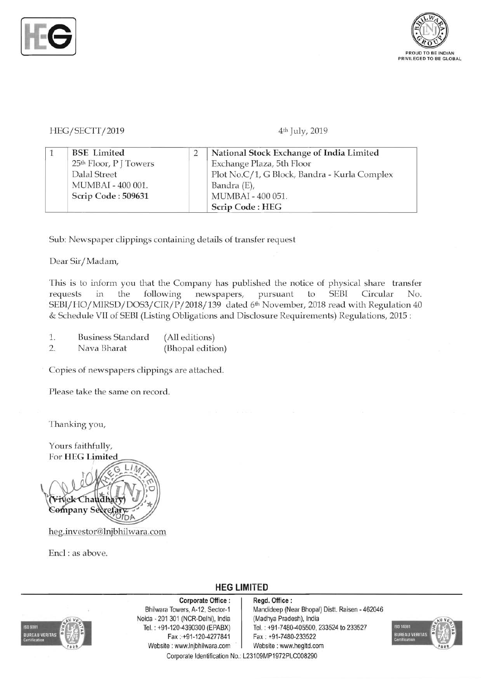



HEG/SECTT/2019 **4<sup>th</sup>** July, 2019

|  | <b>BSE</b> Limited                 | National Stock Exchange of India Limited     |
|--|------------------------------------|----------------------------------------------|
|  | 25 <sup>th</sup> Floor, P J Towers | Exchange Plaza, 5th Floor                    |
|  | Dalal Street                       | Plot No.C/1, G Block, Bandra - Kurla Complex |
|  | MUMBAI - 400 001.                  | Bandra (E),                                  |
|  | Scrip Code: 509631                 | MUMBAI - 400 051.                            |
|  |                                    | Scrip Code: HEG                              |

Sub: Newspaper clippings containing details of transfer request

Dear Sir/Madam,

This is to inform you that the Company has published the notice of physical share transfer requests in the following newspapers, pursuant to SEBI Circular No. SEBI/HO/MIRSD/DOS3/CIR/P/2018/139 dated 6<sup>th</sup> November, 2018 read with Regulation 40 & Schedule VII of SEBI (Listing Obligations and Disclosure Requirements) Regulations, 2015 :

- 1. Business Standard (All editions)
- 2. Nava Bharat (Bhopal edition)

Copies of newspapers clippings are attached.

Please take the same on record.

Thanking you,

Yours faithfully, For HEG Limited



heg.investor@lnjbhilwara.com

Encl: as above.



Corporate Office: | Regd. Office: Noida ·201 301 (NCR-Delhi), India (Madhya Pradesh), India Fax:+91-120-4277841 Fax : +91-7480-233522 Website: www.lnjbhilwara.com | Website: www.hegltd.com

## **HEG LIMITED**

Bhilwara Towers, A-12, Sector-1 Mandideep (Near Bhopal) Distt. Raisen - 462046 Tel. : +91-120-4390300 (EPABX) Tel. : +91 -7480-405500; 233524 to 233527

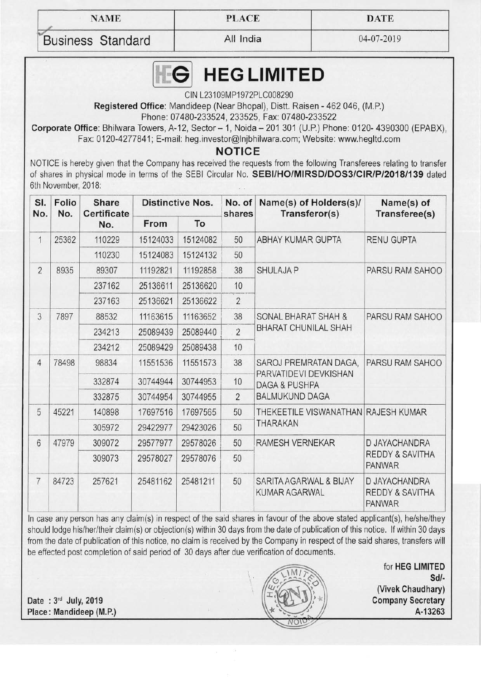-

**NAME** PLACE DATE

Business Standard | All India | 04-07-2019

,

## **HEGLIMITED** EG

CIN L23109MP1972PLC008290

**Registered Office:** Mandideep (Near Bhopal), Distt. Raisen - 462046, (M.P.)

Phone: 07480-233524, 233525, Fax: 07480-233522

**Corporate Office: Bhilwara Towers, A-12, Sector - 1, Noida - 201 301 (U.P.) Phone: 0120- 4390300 (EPABX),** Fax: 0120-4277841; E-mail: heg.investor@lnjbhilwara.com; Website: www.hegltd.com

**NOTICE** 

NOTICE is hereby given that the Company has received the requests from the following Transferees relating to transfer of shares in physical mode in terms of the SEBI Circular No. **5EBIIHO/MIR5D/D053/CIR/P/2018/139** dated 6th November, 2018:

| SI.<br>No.     | Folio<br>No. | <b>Share</b><br><b>Certificate</b><br>No. | <b>Distinctive Nos.</b> |          | No. of<br>shares | Name(s) of Holders(s)/<br>Transferor(s)                                                             | Name(s) of<br>Transferee(s)                                  |
|----------------|--------------|-------------------------------------------|-------------------------|----------|------------------|-----------------------------------------------------------------------------------------------------|--------------------------------------------------------------|
|                |              |                                           | From                    | To       |                  |                                                                                                     |                                                              |
| 1              | 25362        | 110229                                    | 15124033                | 15124082 | 50               | ABHAY KUMAR GUPTA                                                                                   | <b>RENU GUPTA</b>                                            |
|                |              | 110230                                    | 15124083                | 15124132 | 50               |                                                                                                     |                                                              |
| $\overline{2}$ | 8935         | 89307                                     | 11192821                | 11192858 | 38               | <b>SHULAJA P</b>                                                                                    | PARSU RAM SAHOO                                              |
|                |              | 237162                                    | 25136611                | 25136620 | 10               |                                                                                                     |                                                              |
|                |              | 237163                                    | 25136621                | 25136622 | $\overline{2}$   |                                                                                                     |                                                              |
| 3              | 7897         | 88532                                     | 11163615                | 11163652 | 38               | <b>SONAL BHARAT SHAH &amp;</b><br><b>BHARAT CHUNILAL SHAH</b>                                       | PARSU RAM SAHOO                                              |
|                |              | 234213                                    | 25089439                | 25089440 | $\overline{2}$   |                                                                                                     |                                                              |
|                |              | 234212                                    | 25089429                | 25089438 | 10               |                                                                                                     |                                                              |
| $\overline{4}$ | 78498        | 98834                                     | 11551536                | 11551573 | 38               | SAROJ PREMRATAN DAGA,<br>PARVATIDEVI DEVKISHAN<br><b>DAGA &amp; PUSHPA</b><br><b>BALMUKUND DAGA</b> | PARSU RAM SAHOO                                              |
|                |              | 332874                                    | 30744944                | 30744953 | 10               |                                                                                                     |                                                              |
|                |              | 332875                                    | 30744954                | 30744955 | $\overline{2}$   |                                                                                                     |                                                              |
| 5              | 45221        | 140898                                    | 17697516                | 17697565 | 50               | THEKEETILE VISWANATHAN RAJESH KUMAR<br><b>THARAKAN</b>                                              |                                                              |
|                |              | 305972                                    | 29422977                | 29423026 | 50               |                                                                                                     |                                                              |
| $6\phantom{1}$ | 47979        | 309072                                    | 29577977                | 29578026 | 50               | RAMESH VERNEKAR                                                                                     | D JAYACHANDRA<br><b>REDDY &amp; SAVITHA</b><br><b>PANWAR</b> |
|                |              | 309073                                    | 29578027                | 29578076 | 50               |                                                                                                     |                                                              |
| $\overline{7}$ | 84723        | 257621                                    | 25481162                | 25481211 | 50               | SARITA AGARWAL & BIJAY<br><b>KUMAR AGARWAL</b>                                                      | D JAYACHANDRA<br><b>REDDY &amp; SAVITHA</b><br><b>PANWAR</b> |

In case any person has any claim(s) in respect of the said shares in favour of the above stated applicant(s), he/she/they should lodge his/her/their claim(s) or objection(s) within 30 days from the date of publication of this notice. If within 30 days from the date of publication of this notice, no claim is received by the Company in respect of the said shares, transfers will be effected post completion of said period of 30 days after due verification of documents.

**Date : 3<sup>rd</sup> July, 2019 Company Secretary Place: Mandideep (M.P.) A-13263** 



for **HEG LIMITED**  *Sd/·*  **(Vivek Chaudhary)**